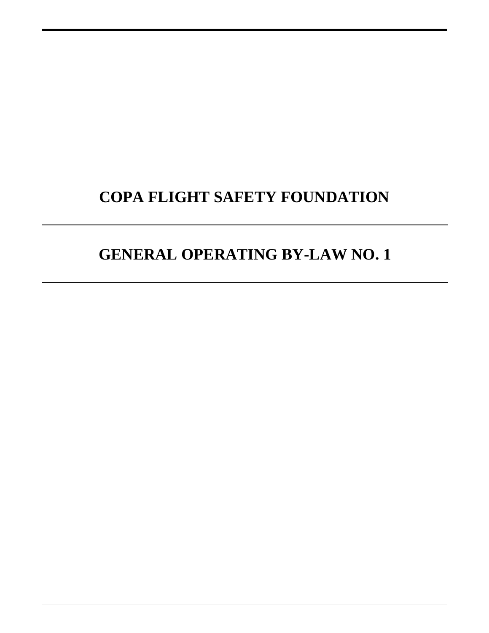# **COPA FLIGHT SAFETY FOUNDATION**

# **GENERAL OPERATING BY-LAW NO. 1**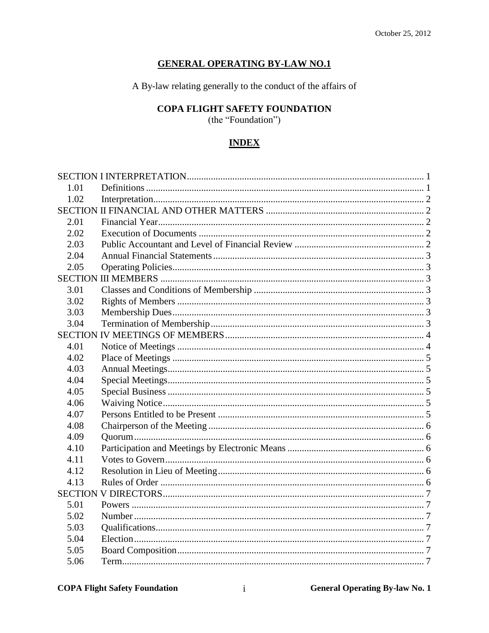# **GENERAL OPERATING BY-LAW NO.1**

A By-law relating generally to the conduct of the affairs of

# **COPA FLIGHT SAFETY FOUNDATION**

(the "Foundation")

# **INDEX**

| 1.01 |  |
|------|--|
| 1.02 |  |
|      |  |
| 2.01 |  |
| 2.02 |  |
| 2.03 |  |
| 2.04 |  |
| 2.05 |  |
|      |  |
| 3.01 |  |
| 3.02 |  |
| 3.03 |  |
| 3.04 |  |
|      |  |
| 4.01 |  |
| 4.02 |  |
| 4.03 |  |
| 4.04 |  |
| 4.05 |  |
| 4.06 |  |
| 4.07 |  |
| 4.08 |  |
| 4.09 |  |
| 4.10 |  |
| 4.11 |  |
| 4.12 |  |
| 4.13 |  |
|      |  |
| 5.01 |  |
| 5.02 |  |
| 5.03 |  |
| 5.04 |  |
| 5.05 |  |
| 5.06 |  |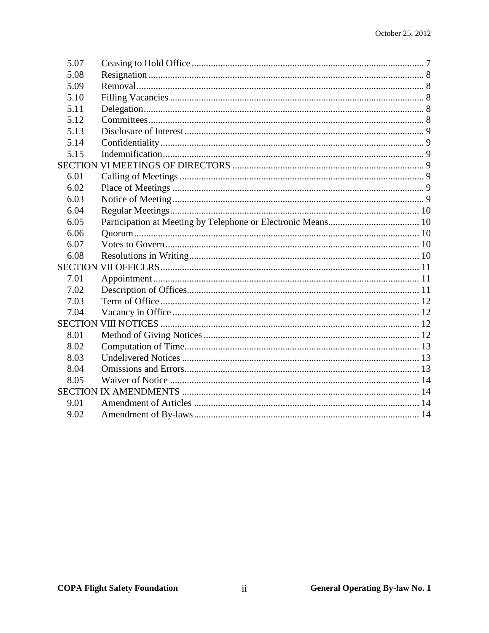| 5.07 |  |
|------|--|
| 5.08 |  |
| 5.09 |  |
| 5.10 |  |
| 5.11 |  |
| 5.12 |  |
| 5.13 |  |
| 5.14 |  |
| 5.15 |  |
|      |  |
| 6.01 |  |
| 6.02 |  |
| 6.03 |  |
| 6.04 |  |
| 6.05 |  |
| 6.06 |  |
| 6.07 |  |
| 6.08 |  |
|      |  |
| 7.01 |  |
| 7.02 |  |
| 7.03 |  |
| 7.04 |  |
|      |  |
| 8.01 |  |
| 8.02 |  |
| 8.03 |  |
| 8.04 |  |
| 8.05 |  |
|      |  |
| 9.01 |  |
| 9.02 |  |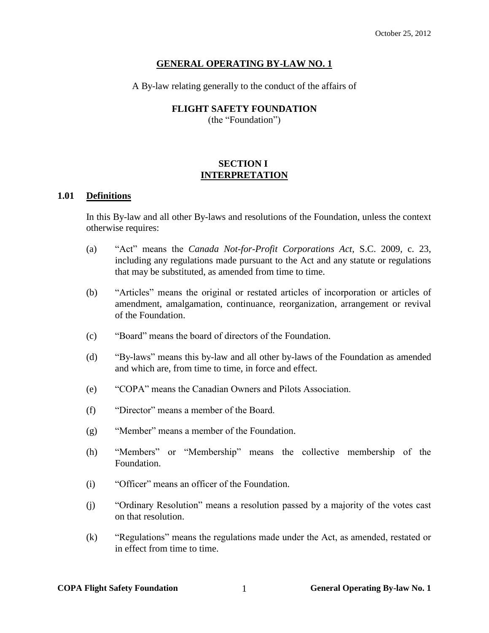#### **GENERAL OPERATING BY-LAW NO. 1**

A By-law relating generally to the conduct of the affairs of

## **FLIGHT SAFETY FOUNDATION**

(the "Foundation")

# **SECTION I INTERPRETATION**

#### <span id="page-3-1"></span><span id="page-3-0"></span>**1.01 Definitions**

In this By-law and all other By-laws and resolutions of the Foundation, unless the context otherwise requires:

- (a) "Act" means the *Canada Not-for-Profit Corporations Act*, S.C. 2009, c. 23, including any regulations made pursuant to the Act and any statute or regulations that may be substituted, as amended from time to time.
- (b) "Articles" means the original or restated articles of incorporation or articles of amendment, amalgamation, continuance, reorganization, arrangement or revival of the Foundation.
- (c) "Board" means the board of directors of the Foundation.
- (d) "By-laws" means this by-law and all other by-laws of the Foundation as amended and which are, from time to time, in force and effect.
- (e) "COPA" means the Canadian Owners and Pilots Association.
- (f) "Director" means a member of the Board.
- (g) "Member" means a member of the Foundation.
- (h) "Members" or "Membership" means the collective membership of the Foundation.
- (i) "Officer" means an officer of the Foundation.
- (j) "Ordinary Resolution" means a resolution passed by a majority of the votes cast on that resolution.
- (k) "Regulations" means the regulations made under the Act, as amended, restated or in effect from time to time.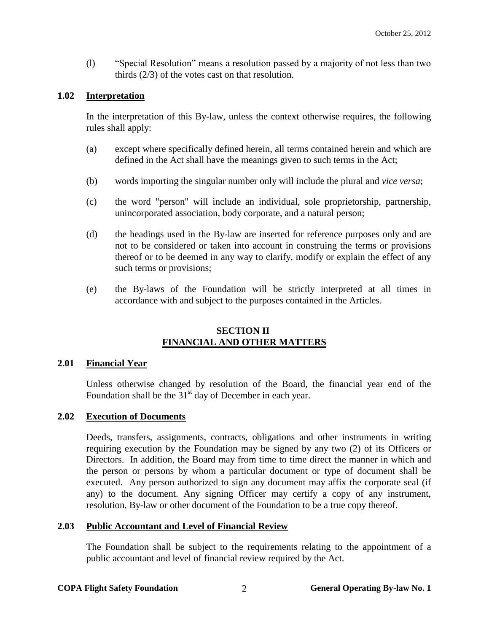(l) "Special Resolution" means a resolution passed by a majority of not less than two thirds (2/3) of the votes cast on that resolution.

## <span id="page-4-0"></span>**1.02 Interpretation**

In the interpretation of this By-law, unless the context otherwise requires, the following rules shall apply:

- (a) except where specifically defined herein, all terms contained herein and which are defined in the Act shall have the meanings given to such terms in the Act;
- (b) words importing the singular number only will include the plural and *vice versa*;
- (c) the word "person" will include an individual, sole proprietorship, partnership, unincorporated association, body corporate, and a natural person;
- (d) the headings used in the By-law are inserted for reference purposes only and are not to be considered or taken into account in construing the terms or provisions thereof or to be deemed in any way to clarify, modify or explain the effect of any such terms or provisions;
- (e) the By-laws of the Foundation will be strictly interpreted at all times in accordance with and subject to the purposes contained in the Articles.

#### **SECTION II FINANCIAL AND OTHER MATTERS**

#### <span id="page-4-2"></span><span id="page-4-1"></span>**2.01 Financial Year**

Unless otherwise changed by resolution of the Board, the financial year end of the Foundation shall be the  $31<sup>st</sup>$  day of December in each year.

#### <span id="page-4-3"></span>**2.02 Execution of Documents**

Deeds, transfers, assignments, contracts, obligations and other instruments in writing requiring execution by the Foundation may be signed by any two (2) of its Officers or Directors. In addition, the Board may from time to time direct the manner in which and the person or persons by whom a particular document or type of document shall be executed. Any person authorized to sign any document may affix the corporate seal (if any) to the document. Any signing Officer may certify a copy of any instrument, resolution, By-law or other document of the Foundation to be a true copy thereof.

#### <span id="page-4-4"></span>**2.03 Public Accountant and Level of Financial Review**

The Foundation shall be subject to the requirements relating to the appointment of a public accountant and level of financial review required by the Act.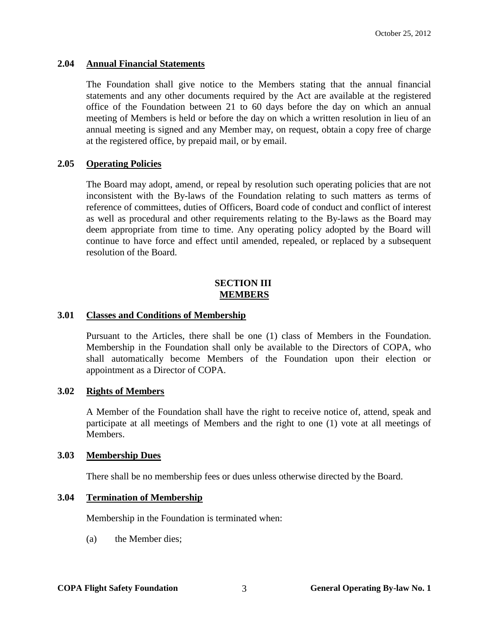#### <span id="page-5-0"></span>**2.04 Annual Financial Statements**

The Foundation shall give notice to the Members stating that the annual financial statements and any other documents required by the Act are available at the registered office of the Foundation between 21 to 60 days before the day on which an annual meeting of Members is held or before the day on which a written resolution in lieu of an annual meeting is signed and any Member may, on request, obtain a copy free of charge at the registered office, by prepaid mail, or by email.

#### <span id="page-5-1"></span>**2.05 Operating Policies**

The Board may adopt, amend, or repeal by resolution such operating policies that are not inconsistent with the By-laws of the Foundation relating to such matters as terms of reference of committees, duties of Officers, Board code of conduct and conflict of interest as well as procedural and other requirements relating to the By-laws as the Board may deem appropriate from time to time. Any operating policy adopted by the Board will continue to have force and effect until amended, repealed, or replaced by a subsequent resolution of the Board.

#### **SECTION III MEMBERS**

#### <span id="page-5-3"></span><span id="page-5-2"></span>**3.01 Classes and Conditions of Membership**

Pursuant to the Articles, there shall be one (1) class of Members in the Foundation. Membership in the Foundation shall only be available to the Directors of COPA, who shall automatically become Members of the Foundation upon their election or appointment as a Director of COPA.

#### <span id="page-5-4"></span>**3.02 Rights of Members**

A Member of the Foundation shall have the right to receive notice of, attend, speak and participate at all meetings of Members and the right to one (1) vote at all meetings of Members.

#### <span id="page-5-5"></span>**3.03 Membership Dues**

There shall be no membership fees or dues unless otherwise directed by the Board.

# <span id="page-5-6"></span>**3.04 Termination of Membership**

Membership in the Foundation is terminated when:

(a) the Member dies;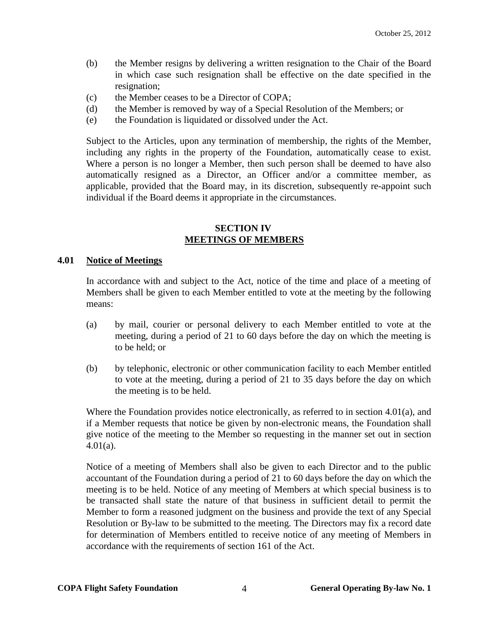- (b) the Member resigns by delivering a written resignation to the Chair of the Board in which case such resignation shall be effective on the date specified in the resignation;
- (c) the Member ceases to be a Director of COPA;
- (d) the Member is removed by way of a Special Resolution of the Members; or
- (e) the Foundation is liquidated or dissolved under the Act.

Subject to the Articles, upon any termination of membership, the rights of the Member, including any rights in the property of the Foundation, automatically cease to exist. Where a person is no longer a Member, then such person shall be deemed to have also automatically resigned as a Director, an Officer and/or a committee member, as applicable, provided that the Board may, in its discretion, subsequently re-appoint such individual if the Board deems it appropriate in the circumstances.

# **SECTION IV MEETINGS OF MEMBERS**

#### <span id="page-6-1"></span><span id="page-6-0"></span>**4.01 Notice of Meetings**

In accordance with and subject to the Act, notice of the time and place of a meeting of Members shall be given to each Member entitled to vote at the meeting by the following means:

- (a) by mail, courier or personal delivery to each Member entitled to vote at the meeting, during a period of 21 to 60 days before the day on which the meeting is to be held; or
- (b) by telephonic, electronic or other communication facility to each Member entitled to vote at the meeting, during a period of 21 to 35 days before the day on which the meeting is to be held.

Where the Foundation provides notice electronically, as referred to in section [4.01\(](#page-6-1)a), and if a Member requests that notice be given by non-electronic means, the Foundation shall give notice of the meeting to the Member so requesting in the manner set out in section [4.01\(a\).](#page-6-1)

Notice of a meeting of Members shall also be given to each Director and to the public accountant of the Foundation during a period of 21 to 60 days before the day on which the meeting is to be held. Notice of any meeting of Members at which special business is to be transacted shall state the nature of that business in sufficient detail to permit the Member to form a reasoned judgment on the business and provide the text of any Special Resolution or By-law to be submitted to the meeting. The Directors may fix a record date for determination of Members entitled to receive notice of any meeting of Members in accordance with the requirements of section 161 of the Act.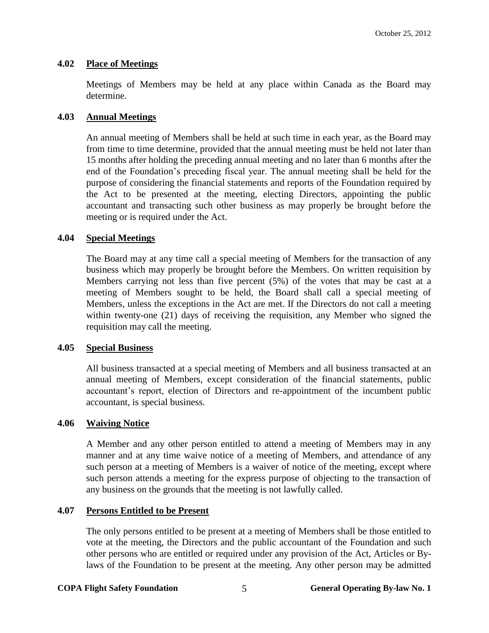#### <span id="page-7-0"></span>**4.02 Place of Meetings**

Meetings of Members may be held at any place within Canada as the Board may determine.

## <span id="page-7-1"></span>**4.03 Annual Meetings**

An annual meeting of Members shall be held at such time in each year, as the Board may from time to time determine, provided that the annual meeting must be held not later than 15 months after holding the preceding annual meeting and no later than 6 months after the end of the Foundation's preceding fiscal year. The annual meeting shall be held for the purpose of considering the financial statements and reports of the Foundation required by the Act to be presented at the meeting, electing Directors, appointing the public accountant and transacting such other business as may properly be brought before the meeting or is required under the Act.

#### <span id="page-7-2"></span>**4.04 Special Meetings**

The Board may at any time call a special meeting of Members for the transaction of any business which may properly be brought before the Members. On written requisition by Members carrying not less than five percent (5%) of the votes that may be cast at a meeting of Members sought to be held, the Board shall call a special meeting of Members, unless the exceptions in the Act are met. If the Directors do not call a meeting within twenty-one (21) days of receiving the requisition, any Member who signed the requisition may call the meeting.

#### <span id="page-7-3"></span>**4.05 Special Business**

All business transacted at a special meeting of Members and all business transacted at an annual meeting of Members, except consideration of the financial statements, public accountant's report, election of Directors and re-appointment of the incumbent public accountant, is special business.

### <span id="page-7-4"></span>**4.06 Waiving Notice**

A Member and any other person entitled to attend a meeting of Members may in any manner and at any time waive notice of a meeting of Members, and attendance of any such person at a meeting of Members is a waiver of notice of the meeting, except where such person attends a meeting for the express purpose of objecting to the transaction of any business on the grounds that the meeting is not lawfully called.

# <span id="page-7-5"></span>**4.07 Persons Entitled to be Present**

The only persons entitled to be present at a meeting of Members shall be those entitled to vote at the meeting, the Directors and the public accountant of the Foundation and such other persons who are entitled or required under any provision of the Act, Articles or Bylaws of the Foundation to be present at the meeting. Any other person may be admitted

#### **COPA Flight Safety Foundation 5 General Operating By-law No. 1**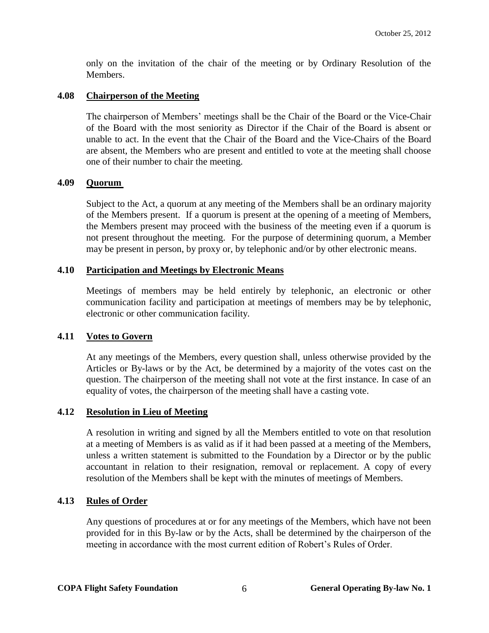only on the invitation of the chair of the meeting or by Ordinary Resolution of the Members.

# <span id="page-8-0"></span>**4.08 Chairperson of the Meeting**

The chairperson of Members' meetings shall be the Chair of the Board or the Vice-Chair of the Board with the most seniority as Director if the Chair of the Board is absent or unable to act. In the event that the Chair of the Board and the Vice-Chairs of the Board are absent, the Members who are present and entitled to vote at the meeting shall choose one of their number to chair the meeting.

# <span id="page-8-1"></span>**4.09 Quorum**

Subject to the Act, a quorum at any meeting of the Members shall be an ordinary majority of the Members present. If a quorum is present at the opening of a meeting of Members, the Members present may proceed with the business of the meeting even if a quorum is not present throughout the meeting. For the purpose of determining quorum, a Member may be present in person, by proxy or, by telephonic and/or by other electronic means.

# <span id="page-8-2"></span>**4.10 Participation and Meetings by Electronic Means**

Meetings of members may be held entirely by telephonic, an electronic or other communication facility and participation at meetings of members may be by telephonic, electronic or other communication facility.

# <span id="page-8-3"></span>**4.11 Votes to Govern**

At any meetings of the Members, every question shall, unless otherwise provided by the Articles or By-laws or by the Act, be determined by a majority of the votes cast on the question. The chairperson of the meeting shall not vote at the first instance. In case of an equality of votes, the chairperson of the meeting shall have a casting vote.

# <span id="page-8-4"></span>**4.12 Resolution in Lieu of Meeting**

A resolution in writing and signed by all the Members entitled to vote on that resolution at a meeting of Members is as valid as if it had been passed at a meeting of the Members, unless a written statement is submitted to the Foundation by a Director or by the public accountant in relation to their resignation, removal or replacement. A copy of every resolution of the Members shall be kept with the minutes of meetings of Members.

# <span id="page-8-5"></span>**4.13 Rules of Order**

Any questions of procedures at or for any meetings of the Members, which have not been provided for in this By-law or by the Acts, shall be determined by the chairperson of the meeting in accordance with the most current edition of Robert's Rules of Order.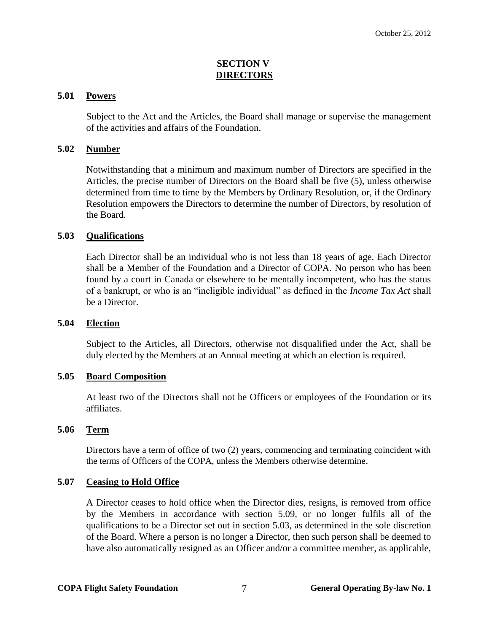# **SECTION V DIRECTORS**

## <span id="page-9-1"></span><span id="page-9-0"></span>**5.01 Powers**

Subject to the Act and the Articles, the Board shall manage or supervise the management of the activities and affairs of the Foundation.

# <span id="page-9-2"></span>**5.02 Number**

Notwithstanding that a minimum and maximum number of Directors are specified in the Articles, the precise number of Directors on the Board shall be five (5), unless otherwise determined from time to time by the Members by Ordinary Resolution, or, if the Ordinary Resolution empowers the Directors to determine the number of Directors, by resolution of the Board.

# <span id="page-9-3"></span>**5.03 Qualifications**

Each Director shall be an individual who is not less than 18 years of age. Each Director shall be a Member of the Foundation and a Director of COPA. No person who has been found by a court in Canada or elsewhere to be mentally incompetent, who has the status of a bankrupt, or who is an "ineligible individual" as defined in the *Income Tax Act* shall be a Director.

#### <span id="page-9-4"></span>**5.04 Election**

Subject to the Articles, all Directors, otherwise not disqualified under the Act, shall be duly elected by the Members at an Annual meeting at which an election is required.

#### <span id="page-9-5"></span>**5.05 Board Composition**

At least two of the Directors shall not be Officers or employees of the Foundation or its affiliates.

#### <span id="page-9-6"></span>**5.06 Term**

Directors have a term of office of two (2) years, commencing and terminating coincident with the terms of Officers of the COPA, unless the Members otherwise determine.

#### <span id="page-9-7"></span>**5.07 Ceasing to Hold Office**

A Director ceases to hold office when the Director dies, resigns, is removed from office by the Members in accordance with section 5.09, or no longer fulfils all of the qualifications to be a Director set out in section 5.03, as determined in the sole discretion of the Board. Where a person is no longer a Director, then such person shall be deemed to have also automatically resigned as an Officer and/or a committee member, as applicable,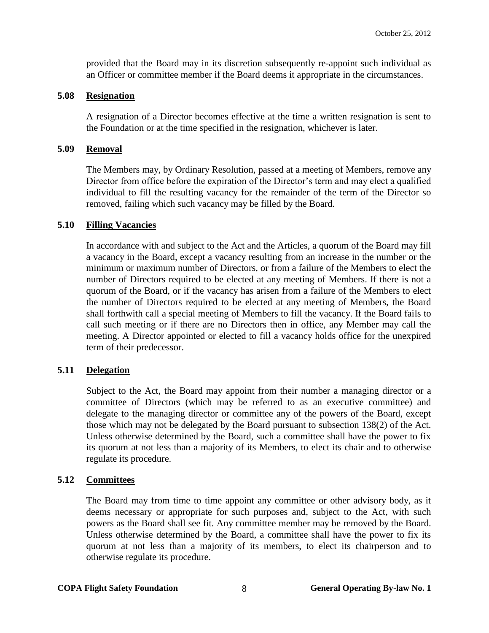provided that the Board may in its discretion subsequently re-appoint such individual as an Officer or committee member if the Board deems it appropriate in the circumstances.

## <span id="page-10-0"></span>**5.08 Resignation**

A resignation of a Director becomes effective at the time a written resignation is sent to the Foundation or at the time specified in the resignation, whichever is later.

# <span id="page-10-1"></span>**5.09 Removal**

The Members may, by Ordinary Resolution, passed at a meeting of Members, remove any Director from office before the expiration of the Director's term and may elect a qualified individual to fill the resulting vacancy for the remainder of the term of the Director so removed, failing which such vacancy may be filled by the Board.

# <span id="page-10-2"></span>**5.10 Filling Vacancies**

In accordance with and subject to the Act and the Articles, a quorum of the Board may fill a vacancy in the Board, except a vacancy resulting from an increase in the number or the minimum or maximum number of Directors, or from a failure of the Members to elect the number of Directors required to be elected at any meeting of Members. If there is not a quorum of the Board, or if the vacancy has arisen from a failure of the Members to elect the number of Directors required to be elected at any meeting of Members, the Board shall forthwith call a special meeting of Members to fill the vacancy. If the Board fails to call such meeting or if there are no Directors then in office, any Member may call the meeting. A Director appointed or elected to fill a vacancy holds office for the unexpired term of their predecessor.

# <span id="page-10-3"></span>**5.11 Delegation**

Subject to the Act, the Board may appoint from their number a managing director or a committee of Directors (which may be referred to as an executive committee) and delegate to the managing director or committee any of the powers of the Board, except those which may not be delegated by the Board pursuant to subsection 138(2) of the Act. Unless otherwise determined by the Board, such a committee shall have the power to fix its quorum at not less than a majority of its Members, to elect its chair and to otherwise regulate its procedure.

# <span id="page-10-4"></span>**5.12 Committees**

The Board may from time to time appoint any committee or other advisory body, as it deems necessary or appropriate for such purposes and, subject to the Act, with such powers as the Board shall see fit. Any committee member may be removed by the Board. Unless otherwise determined by the Board, a committee shall have the power to fix its quorum at not less than a majority of its members, to elect its chairperson and to otherwise regulate its procedure.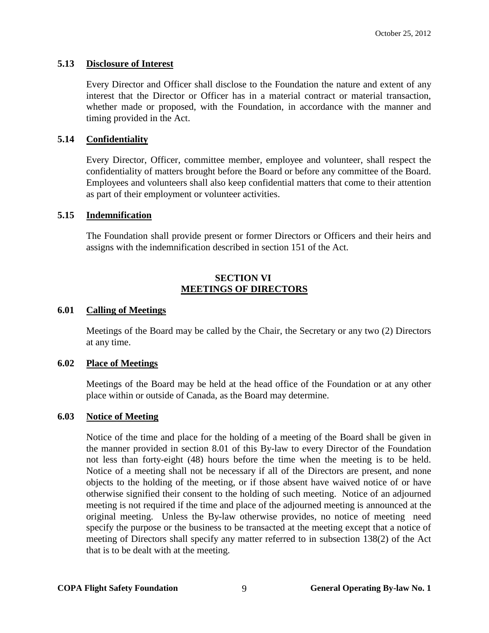# <span id="page-11-0"></span>**5.13 Disclosure of Interest**

Every Director and Officer shall disclose to the Foundation the nature and extent of any interest that the Director or Officer has in a material contract or material transaction, whether made or proposed, with the Foundation, in accordance with the manner and timing provided in the Act.

# <span id="page-11-1"></span>**5.14 Confidentiality**

Every Director, Officer, committee member, employee and volunteer, shall respect the confidentiality of matters brought before the Board or before any committee of the Board. Employees and volunteers shall also keep confidential matters that come to their attention as part of their employment or volunteer activities.

#### <span id="page-11-2"></span>**5.15 Indemnification**

The Foundation shall provide present or former Directors or Officers and their heirs and assigns with the indemnification described in section 151 of the Act.

# **SECTION VI MEETINGS OF DIRECTORS**

#### <span id="page-11-4"></span><span id="page-11-3"></span>**6.01 Calling of Meetings**

Meetings of the Board may be called by the Chair, the Secretary or any two (2) Directors at any time.

#### <span id="page-11-5"></span>**6.02 Place of Meetings**

Meetings of the Board may be held at the head office of the Foundation or at any other place within or outside of Canada, as the Board may determine.

#### <span id="page-11-6"></span>**6.03 Notice of Meeting**

Notice of the time and place for the holding of a meeting of the Board shall be given in the manner provided in section [8.01](#page-14-3) of this By-law to every Director of the Foundation not less than forty-eight (48) hours before the time when the meeting is to be held. Notice of a meeting shall not be necessary if all of the Directors are present, and none objects to the holding of the meeting, or if those absent have waived notice of or have otherwise signified their consent to the holding of such meeting. Notice of an adjourned meeting is not required if the time and place of the adjourned meeting is announced at the original meeting. Unless the By-law otherwise provides, no notice of meeting need specify the purpose or the business to be transacted at the meeting except that a notice of meeting of Directors shall specify any matter referred to in subsection 138(2) of the Act that is to be dealt with at the meeting.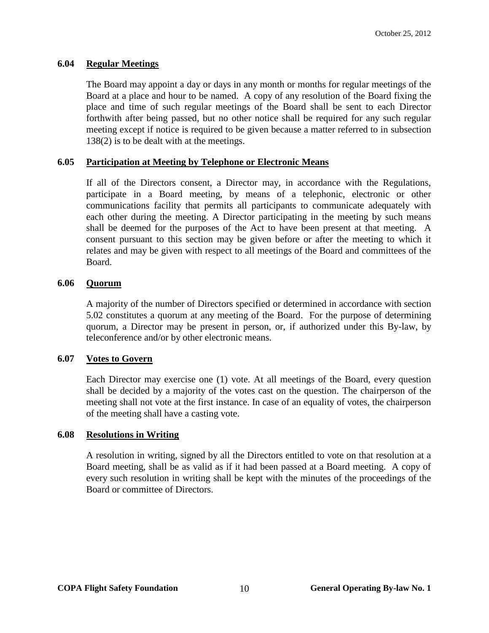# <span id="page-12-0"></span>**6.04 Regular Meetings**

The Board may appoint a day or days in any month or months for regular meetings of the Board at a place and hour to be named. A copy of any resolution of the Board fixing the place and time of such regular meetings of the Board shall be sent to each Director forthwith after being passed, but no other notice shall be required for any such regular meeting except if notice is required to be given because a matter referred to in subsection 138(2) is to be dealt with at the meetings.

# <span id="page-12-1"></span>**6.05 Participation at Meeting by Telephone or Electronic Means**

If all of the Directors consent, a Director may, in accordance with the Regulations, participate in a Board meeting, by means of a telephonic, electronic or other communications facility that permits all participants to communicate adequately with each other during the meeting. A Director participating in the meeting by such means shall be deemed for the purposes of the Act to have been present at that meeting. A consent pursuant to this section may be given before or after the meeting to which it relates and may be given with respect to all meetings of the Board and committees of the Board.

# <span id="page-12-2"></span>**6.06 Quorum**

A majority of the number of Directors specified or determined in accordance with section 5.02 constitutes a quorum at any meeting of the Board. For the purpose of determining quorum, a Director may be present in person, or, if authorized under this By-law, by teleconference and/or by other electronic means.

# <span id="page-12-3"></span>**6.07 Votes to Govern**

Each Director may exercise one (1) vote. At all meetings of the Board, every question shall be decided by a majority of the votes cast on the question. The chairperson of the meeting shall not vote at the first instance. In case of an equality of votes, the chairperson of the meeting shall have a casting vote.

# <span id="page-12-4"></span>**6.08 Resolutions in Writing**

A resolution in writing, signed by all the Directors entitled to vote on that resolution at a Board meeting, shall be as valid as if it had been passed at a Board meeting. A copy of every such resolution in writing shall be kept with the minutes of the proceedings of the Board or committee of Directors.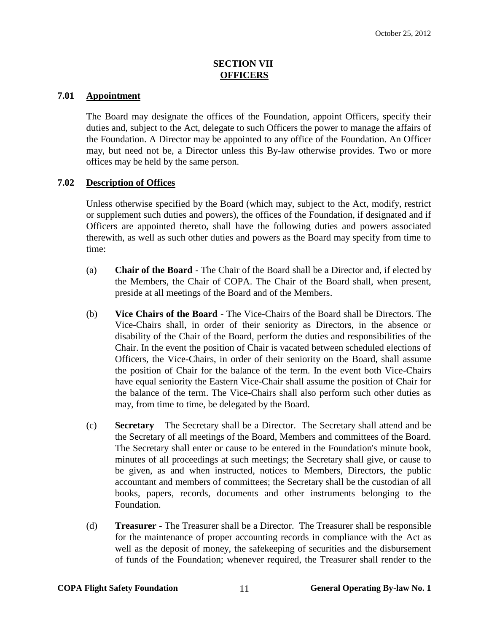# **SECTION VII OFFICERS**

## <span id="page-13-1"></span><span id="page-13-0"></span>**7.01 Appointment**

The Board may designate the offices of the Foundation, appoint Officers, specify their duties and, subject to the Act, delegate to such Officers the power to manage the affairs of the Foundation. A Director may be appointed to any office of the Foundation. An Officer may, but need not be, a Director unless this By-law otherwise provides. Two or more offices may be held by the same person.

# <span id="page-13-2"></span>**7.02 Description of Offices**

Unless otherwise specified by the Board (which may, subject to the Act, modify, restrict or supplement such duties and powers), the offices of the Foundation, if designated and if Officers are appointed thereto, shall have the following duties and powers associated therewith, as well as such other duties and powers as the Board may specify from time to time:

- (a) **Chair of the Board** The Chair of the Board shall be a Director and, if elected by the Members, the Chair of COPA. The Chair of the Board shall, when present, preside at all meetings of the Board and of the Members.
- (b) **Vice Chairs of the Board**  The Vice-Chairs of the Board shall be Directors. The Vice-Chairs shall, in order of their seniority as Directors, in the absence or disability of the Chair of the Board, perform the duties and responsibilities of the Chair. In the event the position of Chair is vacated between scheduled elections of Officers, the Vice-Chairs, in order of their seniority on the Board, shall assume the position of Chair for the balance of the term. In the event both Vice-Chairs have equal seniority the Eastern Vice-Chair shall assume the position of Chair for the balance of the term. The Vice-Chairs shall also perform such other duties as may, from time to time, be delegated by the Board.
- (c) **Secretary** The Secretary shall be a Director. The Secretary shall attend and be the Secretary of all meetings of the Board, Members and committees of the Board. The Secretary shall enter or cause to be entered in the Foundation's minute book, minutes of all proceedings at such meetings; the Secretary shall give, or cause to be given, as and when instructed, notices to Members, Directors, the public accountant and members of committees; the Secretary shall be the custodian of all books, papers, records, documents and other instruments belonging to the Foundation.
- (d) **Treasurer** The Treasurer shall be a Director. The Treasurer shall be responsible for the maintenance of proper accounting records in compliance with the Act as well as the deposit of money, the safekeeping of securities and the disbursement of funds of the Foundation; whenever required, the Treasurer shall render to the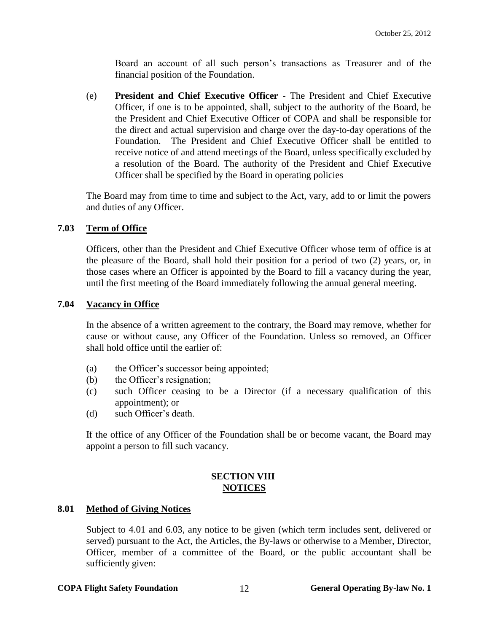Board an account of all such person's transactions as Treasurer and of the financial position of the Foundation.

(e) **President and Chief Executive Officer** - The President and Chief Executive Officer, if one is to be appointed, shall, subject to the authority of the Board, be the President and Chief Executive Officer of COPA and shall be responsible for the direct and actual supervision and charge over the day-to-day operations of the Foundation. The President and Chief Executive Officer shall be entitled to receive notice of and attend meetings of the Board, unless specifically excluded by a resolution of the Board. The authority of the President and Chief Executive Officer shall be specified by the Board in operating policies

The Board may from time to time and subject to the Act, vary, add to or limit the powers and duties of any Officer.

# <span id="page-14-0"></span>**7.03 Term of Office**

Officers, other than the President and Chief Executive Officer whose term of office is at the pleasure of the Board, shall hold their position for a period of two (2) years, or, in those cases where an Officer is appointed by the Board to fill a vacancy during the year, until the first meeting of the Board immediately following the annual general meeting.

#### <span id="page-14-1"></span>**7.04 Vacancy in Office**

In the absence of a written agreement to the contrary, the Board may remove, whether for cause or without cause, any Officer of the Foundation. Unless so removed, an Officer shall hold office until the earlier of:

- (a) the Officer's successor being appointed;
- (b) the Officer's resignation;
- (c) such Officer ceasing to be a Director (if a necessary qualification of this appointment); or
- (d) such Officer's death.

If the office of any Officer of the Foundation shall be or become vacant, the Board may appoint a person to fill such vacancy.

# **SECTION VIII NOTICES**

#### <span id="page-14-3"></span><span id="page-14-2"></span>**8.01 Method of Giving Notices**

Subject to [4.01](#page-6-1) and [6.03,](#page-11-6) any notice to be given (which term includes sent, delivered or served) pursuant to the Act, the Articles, the By-laws or otherwise to a Member, Director, Officer, member of a committee of the Board, or the public accountant shall be sufficiently given:

#### **COPA Flight Safety Foundation** 12 **General Operating By-law No. 1**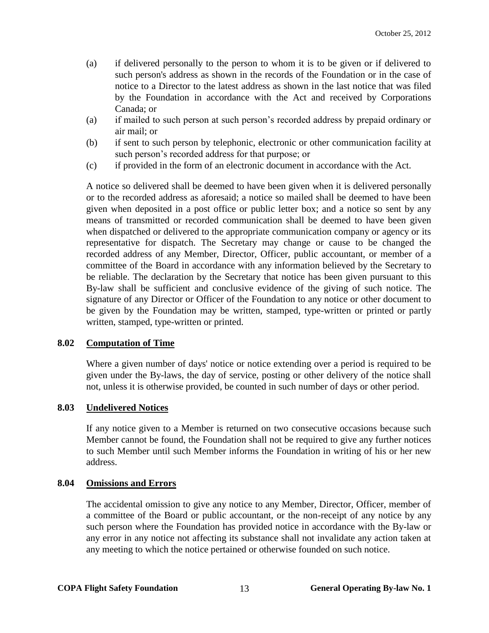- (a) if delivered personally to the person to whom it is to be given or if delivered to such person's address as shown in the records of the Foundation or in the case of notice to a Director to the latest address as shown in the last notice that was filed by the Foundation in accordance with the Act and received by Corporations Canada; or
- (a) if mailed to such person at such person's recorded address by prepaid ordinary or air mail; or
- (b) if sent to such person by telephonic, electronic or other communication facility at such person's recorded address for that purpose; or
- (c) if provided in the form of an electronic document in accordance with the Act.

A notice so delivered shall be deemed to have been given when it is delivered personally or to the recorded address as aforesaid; a notice so mailed shall be deemed to have been given when deposited in a post office or public letter box; and a notice so sent by any means of transmitted or recorded communication shall be deemed to have been given when dispatched or delivered to the appropriate communication company or agency or its representative for dispatch. The Secretary may change or cause to be changed the recorded address of any Member, Director, Officer, public accountant, or member of a committee of the Board in accordance with any information believed by the Secretary to be reliable. The declaration by the Secretary that notice has been given pursuant to this By-law shall be sufficient and conclusive evidence of the giving of such notice. The signature of any Director or Officer of the Foundation to any notice or other document to be given by the Foundation may be written, stamped, type-written or printed or partly written, stamped, type-written or printed.

#### <span id="page-15-0"></span>**8.02 Computation of Time**

Where a given number of days' notice or notice extending over a period is required to be given under the By-laws, the day of service, posting or other delivery of the notice shall not, unless it is otherwise provided, be counted in such number of days or other period.

#### <span id="page-15-1"></span>**8.03 Undelivered Notices**

If any notice given to a Member is returned on two consecutive occasions because such Member cannot be found, the Foundation shall not be required to give any further notices to such Member until such Member informs the Foundation in writing of his or her new address.

#### <span id="page-15-2"></span>**8.04 Omissions and Errors**

The accidental omission to give any notice to any Member, Director, Officer, member of a committee of the Board or public accountant, or the non-receipt of any notice by any such person where the Foundation has provided notice in accordance with the By-law or any error in any notice not affecting its substance shall not invalidate any action taken at any meeting to which the notice pertained or otherwise founded on such notice.